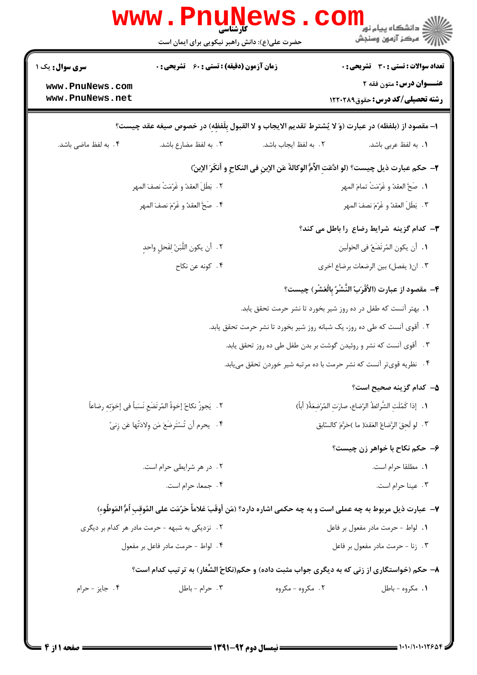|                                                    | حضرت علی(ع): دانش راهبر نیکویی برای ایمان است                     |                                                                                                                   | ران دانشگاه پيام نور <mark>− ا</mark><br>در مرکز آزمون وسنجش            |  |
|----------------------------------------------------|-------------------------------------------------------------------|-------------------------------------------------------------------------------------------------------------------|-------------------------------------------------------------------------|--|
| <b>سری سوال :</b> یک ۱                             | <b>زمان آزمون (دقیقه) : تستی : 60 ٪ تشریحی : 0</b>                |                                                                                                                   | <b>تعداد سوالات : تستی : 30 ٪ تشریحی : 0</b>                            |  |
| www.PnuNews.com<br>www.PnuNews.net                 |                                                                   |                                                                                                                   | <b>عنــوان درس:</b> متون فقه ۲<br><b>رشته تحصیلی/کد درس:</b> حقوق120019 |  |
|                                                    |                                                                   | ١- مقصود از (بلفظه) در عبارت (وَ لا يُشترط تقديم الايجاب و لا القبول بِلَفظهِ) در خصوص صيغه عقد چيست؟             |                                                                         |  |
| ۰۴ به لفظ ماضی باشد.                               | ۰۳ به لفظ مضارع باشد.                                             | ٢. به لفظ ايجاب باشد.                                                                                             | 1. به لفظ عربي باشد.                                                    |  |
|                                                    |                                                                   | ٢- حكم عبارت ذيل چيست؟ (لو ادَّعَت الأَمُّ الوكالةَ عَن الإبن في النكاح و أنكَرَ الإبنّ)                          |                                                                         |  |
|                                                    | ٢. ۖ بَطَلَ العقدُ و غَرُمَتْ نصفَ المهر                          |                                                                                                                   | 1. صَحَّ العقدُ و غَرُمَتْ تمامَ المهر                                  |  |
|                                                    | ۴. صَحَّ العقدُ و غَرُمَ نصفَ المهر                               |                                                                                                                   | ٢. بَطَلَ العقدُ و غَرُمَ نصفَ المهر                                    |  |
|                                                    |                                                                   |                                                                                                                   | <b>۳</b> - کدام گزینه شرایط رضاع را باطل می کند؟                        |  |
| ٢.   أن يكون اللَّبَنُ لِفَحلٍ واحدٍ               |                                                                   | ٠١. أن يكون المُرتَضَعُ في الحَولَين                                                                              |                                                                         |  |
|                                                    | ۰۴ کونه عن نکاح                                                   |                                                                                                                   | ٠٣ ان( يفصل) بين الرضعات برضاع اخرى                                     |  |
|                                                    |                                                                   |                                                                                                                   | ۴- مقصود از عبارت (الأَقْرَبُ النَّشْرُ بِالْعَشْرِ) چيست؟              |  |
|                                                    |                                                                   | ۰۱. بهتر آنست که طفل در ده روز شیر بخورد تا نشر حرمت تحقق یابد.                                                   |                                                                         |  |
|                                                    |                                                                   | ۲. أقوى آنست كه طى ده روز، يک شبانه روز شير بخورد تا نشر حرمت تحقق يابد.                                          |                                                                         |  |
|                                                    |                                                                   | ۰۳ أقوى آنست كه نشر و روئيدن گوشت بر بدن طفل طى ده روز تحقق يابد.                                                 |                                                                         |  |
|                                                    |                                                                   | ۴ .   نظریه قوی تر آنست که نشر حرمت با ده مرتبه شیر خوردن تحقق می یابد.                                           |                                                                         |  |
|                                                    |                                                                   |                                                                                                                   | ۵– کدام گزینه صحیح است؟                                                 |  |
|                                                    | ٢ . ۖ يَجوزُ نكاحُ إخوةُ المُرتَضَعِ نَسَباً في إخوَتِهِ رضاعاً ۖ |                                                                                                                   | ٠١. إذا كَمُلَتِ الشَّرائطُ الرّضاع، صارَتِ المُرْضِعَةُ( أباً)         |  |
| ۴. [يحرم أن تُسْتَرضَعَ مَن وِلادَتَّها عَن زِنيٍّ |                                                                   | ٣ .  لو لَحقَ الرَّضاعُ العَقدَ( ما )حَرَّمَ كالسّابق                                                             |                                                                         |  |
|                                                    |                                                                   |                                                                                                                   | ۶- حکم نکاح با خواهر زن چیست؟                                           |  |
|                                                    | ٢. در هر شرايطي حرام است.                                         |                                                                                                                   | ٠١. مطلقا حرام است.                                                     |  |
|                                                    | ۴. جمعا، حرام است.                                                |                                                                                                                   | ۰۳ عينا حرام است.                                                       |  |
|                                                    |                                                                   | ٧- عبارت ذيل مربوط به چه عملى است و به چه حكمى اشاره دارد؟ (مَن أوقَبَ غلاماً حَرُمَت على المُوقب أمُّ المَوطُوء) |                                                                         |  |
|                                                    | ۰۲ نزدیکی به شبهه - حرمت مادر هر کدام بر دیگری                    | ٠١. لواط - حرمت مادر مفعول بر فاعل                                                                                |                                                                         |  |
|                                                    | ۴. لواط - حرمت مادر فاعل بر مفعول                                 | ۰۳ زنا - حرمت مادر مفعول بر فاعل                                                                                  |                                                                         |  |
|                                                    |                                                                   | ۸- حکم (خواستگاری از زنی که به دیگری جواب مثبت داده) و حکم(نکاحُ الشِّغار) به ترتیب کدام است؟                     |                                                                         |  |
| ۰۴ جایز - حرام                                     | ۰۳ حرام - باطل                                                    | ۲. مگروه - مگروه                                                                                                  | ۰۱ مکروه - باطل                                                         |  |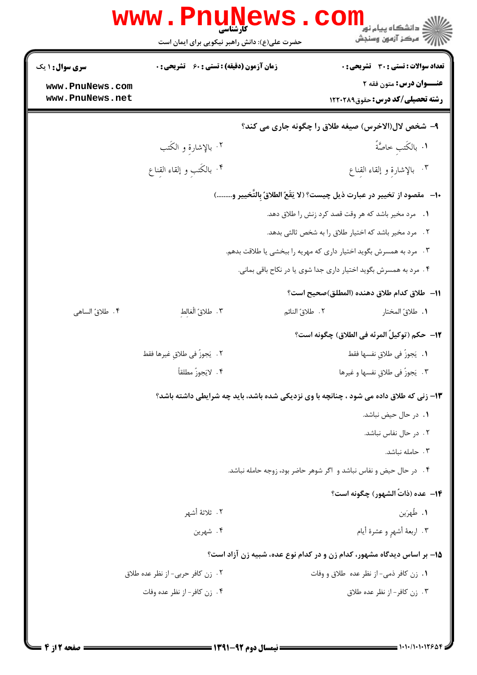|                                                                    | www.PnuNews<br>حضرت علی(ع): دانش راهبر نیکویی برای ایمان است | $\mathbf{com}_{\mathbb{P}^{1,n} \cup \mathbb{P}^{1,n} }$ و دانشگاه پیام نور<br>ے<br>7 مرکز آزمون وسنجش |  |  |
|--------------------------------------------------------------------|--------------------------------------------------------------|--------------------------------------------------------------------------------------------------------|--|--|
| <b>سری سوال : ۱ یک</b>                                             | زمان آزمون (دقیقه) : تستی : 60 گشریحی : 0                    | <b>تعداد سوالات : تستی : 30 ٪ تشریحی : 0</b>                                                           |  |  |
| www.PnuNews.com<br>www.PnuNews.net                                 |                                                              | <b>عنـــوان درس:</b> متون فقه ۲<br><b>رشته تحصیلی/کد درس:</b> حقوق120021                               |  |  |
|                                                                    | ۹- شخص لال(الاخرس) صیغه طلاق را چگونه جاری می کند؟           |                                                                                                        |  |  |
|                                                                    | ۰۲ بالإشارة و الكَتب                                         | <b>١.</b> بالكَتب حاصَّةً                                                                              |  |  |
|                                                                    | ۰۴ بالكَتبِ و إلقاء القِناع                                  | ٢. بالإشارة و إلقاء القِناع                                                                            |  |  |
|                                                                    |                                                              | •ا−   مقصود از تخيير در عبارت ذيل چيست؟ (لا يَقَعُ الطلاقُ بِالتَّخيير و)                              |  |  |
|                                                                    |                                                              | ۱. مرد مخیر باشد که هر وقت قصد کرد زنش را طلاق دهد.                                                    |  |  |
| ۲. مرد مخیر باشد که اختیار طلاق را به شخص ثالثی بدهد.              |                                                              |                                                                                                        |  |  |
| ۰۳ مرد به همسرش بگوید اختیار داری که مهریه را ببخشی یا طلاقت بدهم. |                                                              |                                                                                                        |  |  |
|                                                                    |                                                              | ۰۴ مرد به همسرش بگوید اختیار داری جدا شوی یا در نکاح باقی بمانی.                                       |  |  |
|                                                                    |                                                              | 11–  طلاق كدام طلاق دهنده (المطلق)صحيح است؟                                                            |  |  |
| ۰۴ طلاقُ الساهي                                                    | ٢. طلاقُ الْغالط                                             | ٠١. طلاقُ المختار<br>٢. طلاقُ النائم                                                                   |  |  |
|                                                                    |                                                              | 1 <b>۲</b> — حكم (توكيلُ المرئه في الطلاق) چگونه است؟                                                  |  |  |
|                                                                    | ٢ .   يَجوزُ في طلاقٍ غيرها فقط                              | ٠١.  يَجوزُ في طلاقٍ نفسها فقط                                                                         |  |  |
|                                                                    | ۴ . لايَجوزُ مطلقاً                                          | ۰۳ . يَجوزُ في طلاق نفسها و غيرها                                                                      |  |  |
|                                                                    |                                                              | ۱۳- زنی که طلاق داده می شود ، چنانچه با وی نزدیکی شده باشد، باید چه شرایطی داشته باشد؟                 |  |  |
|                                                                    |                                                              | ٠١. در حال حيض نباشد.                                                                                  |  |  |
|                                                                    |                                                              | ٢. در حال نفاس نباشد.                                                                                  |  |  |
|                                                                    |                                                              | ۰۳ حامله نباشد.                                                                                        |  |  |
|                                                                    |                                                              | ۴ . در حال حیض و نفاس نباشد و اگر شوهر حاضر بود، زوجه حامله نباشد.                                     |  |  |
|                                                                    |                                                              | <b>۱۴</b> - عده (ذاتُ الشهور) چگونه است؟                                                               |  |  |
|                                                                    | ٢ .  ثلاثهٔ أشهر                                             | ١. طُهرَين                                                                                             |  |  |
|                                                                    | ۴. شهرين                                                     | ٠٣ اربعة أشهرٍ و عشرة أيام                                                                             |  |  |
|                                                                    |                                                              | ۱۵– بر اساس دیدگاه مشهور، کدام زن و در کدام نوع عده، شبیه زن آزاد است؟                                 |  |  |
|                                                                    | ٢. زن كافر حربي- از نظر عده طلاق                             | ٠١. زن كافر ذمي-از نظر عده طلاق و وفات                                                                 |  |  |
|                                                                    | ۰۴ زن كافر-از نظر عده وفات                                   | ۰۳ زن كافر- از نظر عده طلاق                                                                            |  |  |
|                                                                    |                                                              |                                                                                                        |  |  |
|                                                                    |                                                              |                                                                                                        |  |  |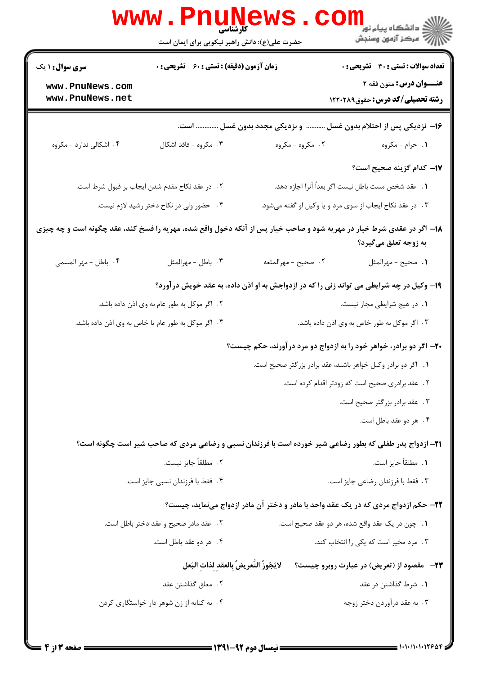|                                                                                                                       | <b>www.Pnunews</b><br>کارشناسی<br>حضرت علی(ع): دانش راهبر نیکویی برای ایمان است |                                                               | ر دانشڪاه پيام نور <mark>−</mark><br>ا∛ مرکز آزمون وسنڊش                                                |
|-----------------------------------------------------------------------------------------------------------------------|---------------------------------------------------------------------------------|---------------------------------------------------------------|---------------------------------------------------------------------------------------------------------|
| <b>سری سوال : ۱ یک</b>                                                                                                | زمان آزمون (دقیقه) : تستی : 60 ٪ تشریحی : 0                                     |                                                               | <b>تعداد سوالات : تستی : 30 - تشریحی : 0</b>                                                            |
| www.PnuNews.com<br>www.PnuNews.net                                                                                    |                                                                                 |                                                               | عنــوان درس: متون فقه ٢<br><b>رشته تحصیلی/کد درس:</b> حقوق122021                                        |
|                                                                                                                       |                                                                                 |                                                               | ۱۶– نزدیکی پس از احتلام بدون غسل  و نزدیکی مجدد بدون غسل  است.                                          |
| ۴. اشکالی ندارد - مکروه                                                                                               | ۰۳ مکروه - فاقد اشکال                                                           | ۰۲ مکروه - مکروه                                              | ۱. حرام - مکروه                                                                                         |
|                                                                                                                       |                                                                                 |                                                               | ١٧- كدام گزينه صحيح است؟                                                                                |
|                                                                                                                       | ٢. در عقد نكاح مقدم شدن ايجاب بر قبول شرط است.                                  |                                                               | <b>۱.</b> عقد شخص مست باطل نیست اگر بعداً آنرا اجازه دهد.                                               |
|                                                                                                                       | ۰۴ حضور ولی در نکاح دختر رشید لازم نیست.                                        |                                                               | ۰۳ در عقد نکاح ایجاب از سوی مرد و یا وکیل او گفته میشود.                                                |
| ۱۸– اگر در عقدی شرط خیار در مهریه شود و صاحب خیار پس از آنکه دخول واقع شده، مهریه را فسخ کند، عقد چگونه است و چه چیزی |                                                                                 |                                                               | به زوجه تعلق میگیرد؟                                                                                    |
| ۴. باطل - مهر المسمى                                                                                                  | ٠٣ باطل - مهرالمثل                                                              | ٢. صحيح - مهرالمتعه                                           | 1. صحيح - مهرالمثل                                                                                      |
|                                                                                                                       |                                                                                 |                                                               | ۱۹- وکیل در چه شرایطی می تواند زنی را که در ازدواجش به او اذن داده، به عقد خویش درآورد؟                 |
|                                                                                                                       | ۲ . اگر موکل به طور عام به وی اذن داده باشد.                                    |                                                               | <b>۱.</b> در هیچ شرایطی مجاز نیست.                                                                      |
|                                                                                                                       | ۴. اگر موکل به طور عام یا خاص به وی اذن داده باشد.                              | ۰۳ اگر موکل به طور خاص به وی اذن داده باشد.                   |                                                                                                         |
|                                                                                                                       |                                                                                 |                                                               | ۲۰– اگر دو برادر، خواهر خود را به ازدواج دو مرد درآورند، حکم چیست؟                                      |
|                                                                                                                       |                                                                                 | ٠١. اگر دو برادر وكيل خواهر باشند، عقد برادر بزرگتر صحيح است. |                                                                                                         |
|                                                                                                                       |                                                                                 |                                                               | ٢. عقد برادري صحيح است كه زودتر اقدام كرده است.                                                         |
|                                                                                                                       |                                                                                 |                                                               | ۰۳ عقد برادر بزرگتر صحیح است.                                                                           |
|                                                                                                                       |                                                                                 |                                                               | ۰۴ هر دو عقد باطل است.                                                                                  |
|                                                                                                                       |                                                                                 |                                                               | 21- ازدواج پدر طفلی که بطور رضاعی شیر خورده است با فرزندان نسبی و رضاعی مردی که صاحب شیر است چگونه است؟ |
|                                                                                                                       | ٢ . مطلقاً جايز نيست.                                                           | <b>١.</b> مطلقاً جايز است.                                    |                                                                                                         |
|                                                                                                                       | ۴. فقط با فرزندان نسبی جایز است.                                                |                                                               | ۰۳ فقط با فرزندان رضاعی جایز است.                                                                       |
|                                                                                                                       |                                                                                 |                                                               | ۲۲- حکم ازدواج مردی که در یک عقد واحد با مادر و دختر آن مادر ازدواج مینماید، چیست؟                      |
|                                                                                                                       | ۰۲ عقد مادر صحیح و عقد دختر باطل است.                                           |                                                               | ٠١. چون در يک عقد واقع شده، هر دو عقد صحيح است.                                                         |
|                                                                                                                       | ۴ . هر دو عقد باطل است.                                                         |                                                               | ۰۳ مرد مخیر است که یکی را انتخاب کند.                                                                   |
|                                                                                                                       | لايَجُوزُ التَّعريضُ بالعقد لذات البَعل                                         |                                                               | <b>۲۳</b> - مقصود از (تعریض) در عبارت روبرو چیست؟                                                       |
|                                                                                                                       | ٢ . معلق گذاشتن عقد                                                             |                                                               | ۰۱ شرط گذاشتن در عقد                                                                                    |
|                                                                                                                       | ۰۴ به کنایه از زن شوهر دار خواستگاری کردن                                       |                                                               | ۰۳ به عقد درآوردن دختر زوجه                                                                             |
|                                                                                                                       |                                                                                 |                                                               |                                                                                                         |